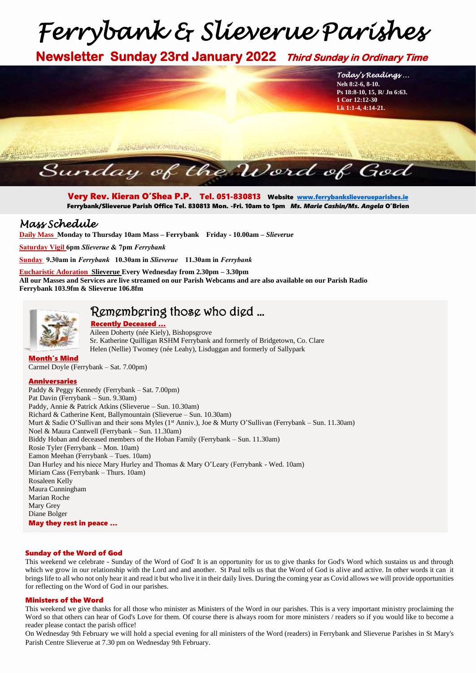# *Ferrybank & Slieverue Parishes*

**Newsletter Sunday 23rd January 2022 Third Sunday in Ordinary Time**



Very Rev. Kieran O'Shea P.P. Tel. 051-830813 Website [www.ferrybankslieverueparishes.ie](http://www.ferrybankslieverueparishes.ie/)  Ferrybank/Slieverue Parish Office Tel. 830813 Mon. -Fri. 10am to 1pm *Ms. Marie Cashin/Ms. Angela* O'Brien

### *Mass Schedule*

**Daily Mass Monday to Thursday 10am Mass – Ferrybank Friday - 10.00am –** *Slieverue*

**Saturday Vigil 6pm** *Slieverue* **& 7pm** *Ferrybank*

**Sunday 9.30am in** *Ferrybank* **10.30am in** *Slieverue* **11.30am in** *Ferrybank*

**Eucharistic Adoration Slieverue Every Wednesday from 2.30pm – 3.30pm All our Masses and Services are live streamed on our Parish Webcams and are also available on our Parish Radio Ferrybank 103.9fm & Slieverue 106.8fm**



# Remembering those who died …

 Recently Deceased … Aileen Doherty (née Kiely), Bishopsgrove Sr. Katherine Quilligan RSHM Ferrybank and formerly of Bridgetown, Co. Clare Helen (Nellie) Twomey (née Leahy), Lisduggan and formerly of Sallypark

## Month's Mind

Carmel Doyle (Ferrybank – Sat. 7.00pm)

#### Anniversaries

Paddy & Peggy Kennedy (Ferrybank – Sat. 7.00pm) Pat Davin (Ferrybank – Sun. 9.30am) Paddy, Annie & Patrick Atkins (Slieverue – Sun. 10.30am) Richard & Catherine Kent, Ballymountain (Slieverue – Sun. 10.30am) Murt & Sadie O'Sullivan and their sons Myles (1<sup>st</sup> Anniv.), Joe & Murty O'Sullivan (Ferrybank – Sun. 11.30am) Noel & Maura Cantwell (Ferrybank – Sun. 11.30am) Biddy Hoban and deceased members of the Hoban Family (Ferrybank – Sun. 11.30am) Rosie Tyler (Ferrybank – Mon. 10am) Eamon Meehan (Ferrybank – Tues. 10am) Dan Hurley and his niece Mary Hurley and Thomas & Mary O'Leary (Ferrybank - Wed. 10am) Miriam Cass (Ferrybank – Thurs. 10am) Rosaleen Kelly Maura Cunningham Marian Roche Mary Grey Diane Bolger May they rest in peace …

#### Sunday of the Word of God

This weekend we celebrate - Sunday of the Word of God' It is an opportunity for us to give thanks for God's Word which sustains us and through which we grow in our relationship with the Lord and and another. St Paul tells us that the Word of God is alive and active. In other words it can it brings life to all who not only hear it and read it but who live it in their daily lives. During the coming year as Covid allows we will provide opportunities for reflecting on the Word of God in our parishes.

#### Ministers of the Word

This weekend we give thanks for all those who minister as Ministers of the Word in our parishes. This is a very important ministry proclaiming the Word so that others can hear of God's Love for them. Of course there is always room for more ministers / readers so if you would like to become a reader please contact the parish office!

On Wednesday 9th February we will hold a special evening for all ministers of the Word (readers) in Ferrybank and Slieverue Parishes in St Mary's Parish Centre Slieverue at 7.30 pm on Wednesday 9th February.